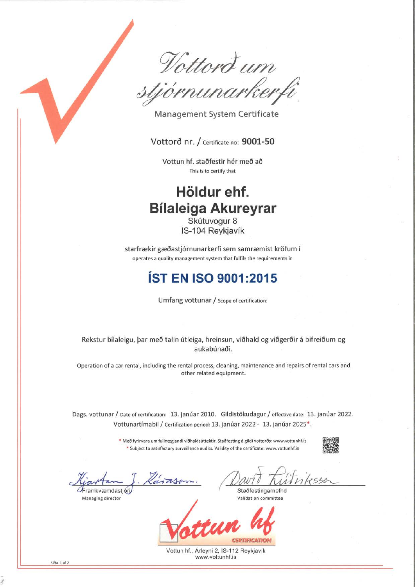$\overline{\iota\iota\iota\iota}$ .t

Management System Certificate

Vottorð nr. / Certificate no: 9001-50

Vottun hf. staðfestir hér með aõ This is to certify that

## Höldur ehf. Bílaleiga Akureyrar

Skútuvogur 8 lS-104 Reykiavík

starfrækir gæðastjórnunarkerfi sem samræmist kröfum <sup>í</sup> operates a quality management system that fulfils the requirements in

## **ÍST EN ISO 9001:2015**

Umfang vottunar / Scope of certification:

Rekstur bílaleigu, þar með talin útleiga, hreinsun, viõhald og viðgeröir á bifreiõum og aukabúnaði.

Operation of a car rental, including the rental process, cleaning, maintenance and repairs of rental cars and other related equipment.

Dags. vottunar / Date of certification: 13. janúar 2010. Gildistökudagur / effective date: 13. janúar 2022. Vottunartímabil / Certification period: 13. janúar 2022 - 13. janúar 2025\*.

> \* Með fyrirvara um fullnægjandi viðhaldsúttektir. Staðfesting á gildi vottorðs: www.vottunhf.is \* Subject to satisfactory surveillance audits. Validity of the certificate: www.vottunhf.is

#H

 $inkssoc$ 

ramkvæmdastjóri

Managing director

Staðfestingarnefnd Validation committee

**GERTIFICATION** 

Vottun hf., Árleyni 2, IS-112 Reykjavík www-vottunhf.is

síða 1 af 2

.f